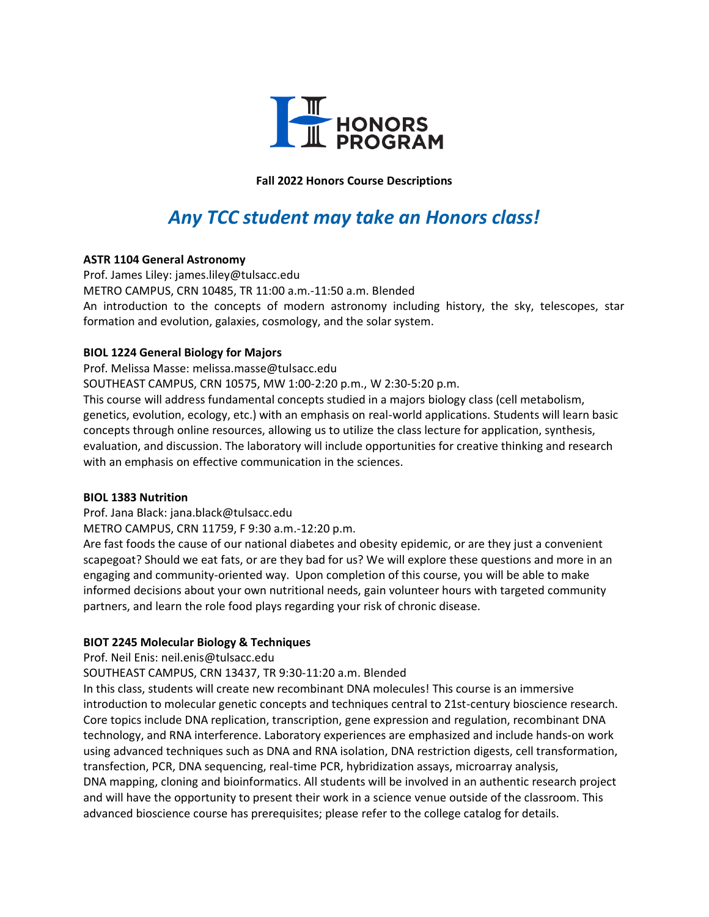

**Fall 2022 Honors Course Descriptions**

# *Any TCC student may take an Honors class!*

# **ASTR 1104 General Astronomy**

Prof. James Liley: james.liley@tulsacc.edu METRO CAMPUS, CRN 10485, TR 11:00 a.m.-11:50 a.m. Blended An introduction to the concepts of modern astronomy including history, the sky, telescopes, star formation and evolution, galaxies, cosmology, and the solar system.

# **BIOL 1224 General Biology for Majors**

Prof. Melissa Masse: melissa.masse@tulsacc.edu

SOUTHEAST CAMPUS, CRN 10575, MW 1:00-2:20 p.m., W 2:30-5:20 p.m.

This course will address fundamental concepts studied in a majors biology class (cell metabolism, genetics, evolution, ecology, etc.) with an emphasis on real-world applications. Students will learn basic concepts through online resources, allowing us to utilize the class lecture for application, synthesis, evaluation, and discussion. The laboratory will include opportunities for creative thinking and research with an emphasis on effective communication in the sciences.

# **BIOL 1383 Nutrition**

Prof. Jana Black: jana.black@tulsacc.edu

METRO CAMPUS, CRN 11759, F 9:30 a.m.-12:20 p.m.

Are fast foods the cause of our national diabetes and obesity epidemic, or are they just a convenient scapegoat? Should we eat fats, or are they bad for us? We will explore these questions and more in an engaging and community-oriented way. Upon completion of this course, you will be able to make informed decisions about your own nutritional needs, gain volunteer hours with targeted community partners, and learn the role food plays regarding your risk of chronic disease.

# **BIOT 2245 Molecular Biology & Techniques**

Prof. Neil Enis: neil.enis@tulsacc.edu

# SOUTHEAST CAMPUS, CRN 13437, TR 9:30-11:20 a.m. Blended

In this class, students will create new recombinant DNA molecules! This course is an immersive introduction to molecular genetic concepts and techniques central to 21st-century bioscience research. Core topics include DNA replication, transcription, gene expression and regulation, recombinant DNA technology, and RNA interference. Laboratory experiences are emphasized and include hands-on work using advanced techniques such as DNA and RNA isolation, DNA restriction digests, cell transformation, transfection, PCR, DNA sequencing, real-time PCR, hybridization assays, microarray analysis, DNA mapping, cloning and bioinformatics. All students will be involved in an authentic research project and will have the opportunity to present their work in a science venue outside of the classroom. This advanced bioscience course has prerequisites; please refer to the college catalog for details.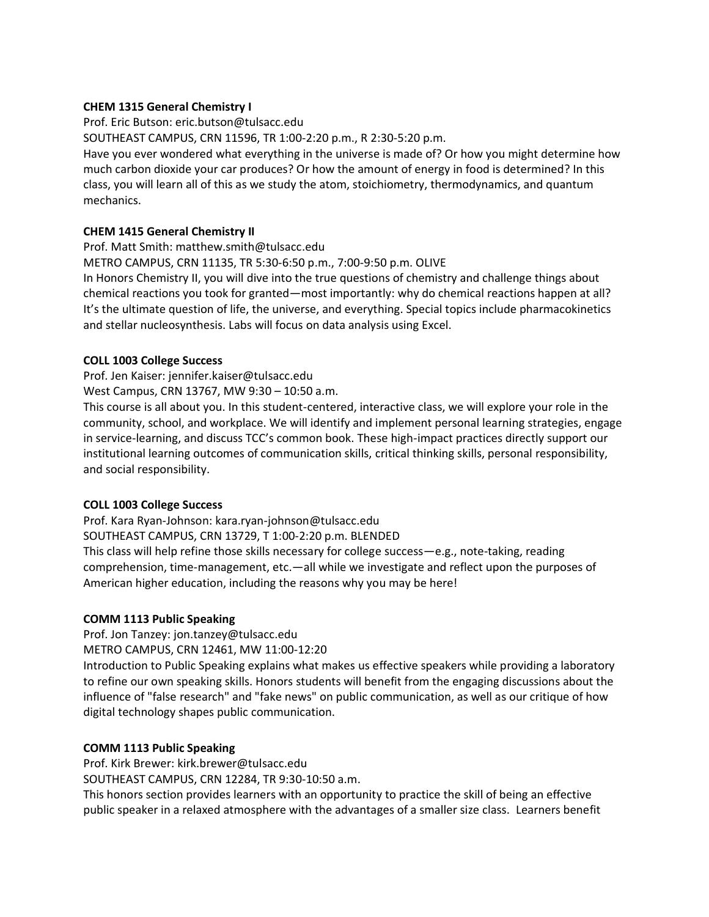# **CHEM 1315 General Chemistry I**

Prof. Eric Butson: eric.butson@tulsacc.edu

SOUTHEAST CAMPUS, CRN 11596, TR 1:00-2:20 p.m., R 2:30-5:20 p.m.

Have you ever wondered what everything in the universe is made of? Or how you might determine how much carbon dioxide your car produces? Or how the amount of energy in food is determined? In this class, you will learn all of this as we study the atom, stoichiometry, thermodynamics, and quantum mechanics.

# **CHEM 1415 General Chemistry II**

Prof. Matt Smith: matthew.smith@tulsacc.edu

METRO CAMPUS, CRN 11135, TR 5:30-6:50 p.m., 7:00-9:50 p.m. OLIVE

In Honors Chemistry II, you will dive into the true questions of chemistry and challenge things about chemical reactions you took for granted—most importantly: why do chemical reactions happen at all? It's the ultimate question of life, the universe, and everything. Special topics include pharmacokinetics and stellar nucleosynthesis. Labs will focus on data analysis using Excel.

#### **COLL 1003 College Success**

Prof. Jen Kaiser: jennifer.kaiser@tulsacc.edu

West Campus, CRN 13767, MW 9:30 – 10:50 a.m.

This course is all about you. In this student-centered, interactive class, we will explore your role in the community, school, and workplace. We will identify and implement personal learning strategies, engage in service-learning, and discuss TCC's common book. These high-impact practices directly support our institutional learning outcomes of communication skills, critical thinking skills, personal responsibility, and social responsibility.

# **COLL 1003 College Success**

Prof. Kara Ryan-Johnson: kara.ryan-johnson@tulsacc.edu

SOUTHEAST CAMPUS, CRN 13729, T 1:00-2:20 p.m. BLENDED

This class will help refine those skills necessary for college success—e.g., note-taking, reading comprehension, time-management, etc.—all while we investigate and reflect upon the purposes of American higher education, including the reasons why you may be here!

# **COMM 1113 Public Speaking**

Prof. Jon Tanzey: jon.tanzey@tulsacc.edu

METRO CAMPUS, CRN 12461, MW 11:00-12:20

Introduction to Public Speaking explains what makes us effective speakers while providing a laboratory to refine our own speaking skills. Honors students will benefit from the engaging discussions about the influence of "false research" and "fake news" on public communication, as well as our critique of how digital technology shapes public communication.

# **COMM 1113 Public Speaking**

Prof. Kirk Brewer: kirk.brewer@tulsacc.edu

SOUTHEAST CAMPUS, CRN 12284, TR 9:30-10:50 a.m.

This honors section provides learners with an opportunity to practice the skill of being an effective public speaker in a relaxed atmosphere with the advantages of a smaller size class. Learners benefit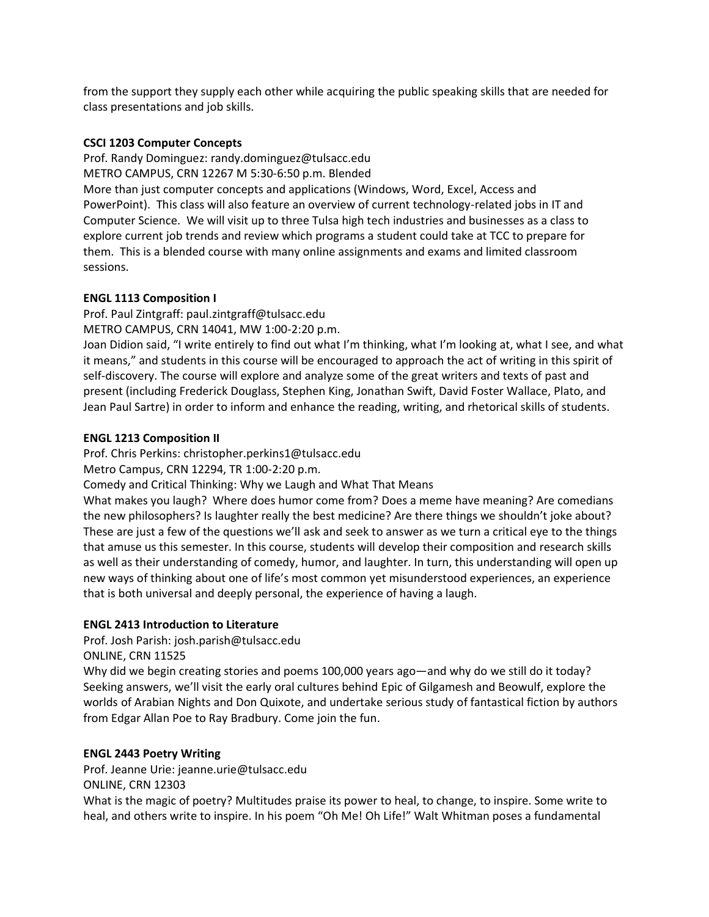from the support they supply each other while acquiring the public speaking skills that are needed for class presentations and job skills.

# **CSCI 1203 Computer Concepts**

Prof. Randy Dominguez: randy.dominguez@tulsacc.edu METRO CAMPUS, CRN 12267 M 5:30-6:50 p.m. Blended More than just computer concepts and applications (Windows, Word, Excel, Access and PowerPoint). This class will also feature an overview of current technology-related jobs in IT and Computer Science. We will visit up to three Tulsa high tech industries and businesses as a class to explore current job trends and review which programs a student could take at TCC to prepare for them. This is a blended course with many online assignments and exams and limited classroom sessions.

# **ENGL 1113 Composition I**

Prof. Paul Zintgraff: paul.zintgraff@tulsacc.edu METRO CAMPUS, CRN 14041, MW 1:00-2:20 p.m.

Joan Didion said, "I write entirely to find out what I'm thinking, what I'm looking at, what I see, and what it means," and students in this course will be encouraged to approach the act of writing in this spirit of self-discovery. The course will explore and analyze some of the great writers and texts of past and present (including Frederick Douglass, Stephen King, Jonathan Swift, David Foster Wallace, Plato, and Jean Paul Sartre) in order to inform and enhance the reading, writing, and rhetorical skills of students.

# **ENGL 1213 Composition II**

Prof. Chris Perkins: christopher.perkins1@tulsacc.edu

Metro Campus, CRN 12294, TR 1:00-2:20 p.m.

Comedy and Critical Thinking: Why we Laugh and What That Means

What makes you laugh? Where does humor come from? Does a meme have meaning? Are comedians the new philosophers? Is laughter really the best medicine? Are there things we shouldn't joke about? These are just a few of the questions we'll ask and seek to answer as we turn a critical eye to the things that amuse us this semester. In this course, students will develop their composition and research skills as well as their understanding of comedy, humor, and laughter. In turn, this understanding will open up new ways of thinking about one of life's most common yet misunderstood experiences, an experience that is both universal and deeply personal, the experience of having a laugh.

# **ENGL 2413 Introduction to Literature**

Prof. Josh Parish: josh.parish@tulsacc.edu

ONLINE, CRN 11525

Why did we begin creating stories and poems 100,000 years ago—and why do we still do it today? Seeking answers, we'll visit the early oral cultures behind Epic of Gilgamesh and Beowulf, explore the worlds of Arabian Nights and Don Quixote, and undertake serious study of fantastical fiction by authors from Edgar Allan Poe to Ray Bradbury. Come join the fun.

# **ENGL 2443 Poetry Writing**

Prof. Jeanne Urie: jeanne.urie@tulsacc.edu ONLINE, CRN 12303

What is the magic of poetry? Multitudes praise its power to heal, to change, to inspire. Some write to heal, and others write to inspire. In his poem "Oh Me! Oh Life!" Walt Whitman poses a fundamental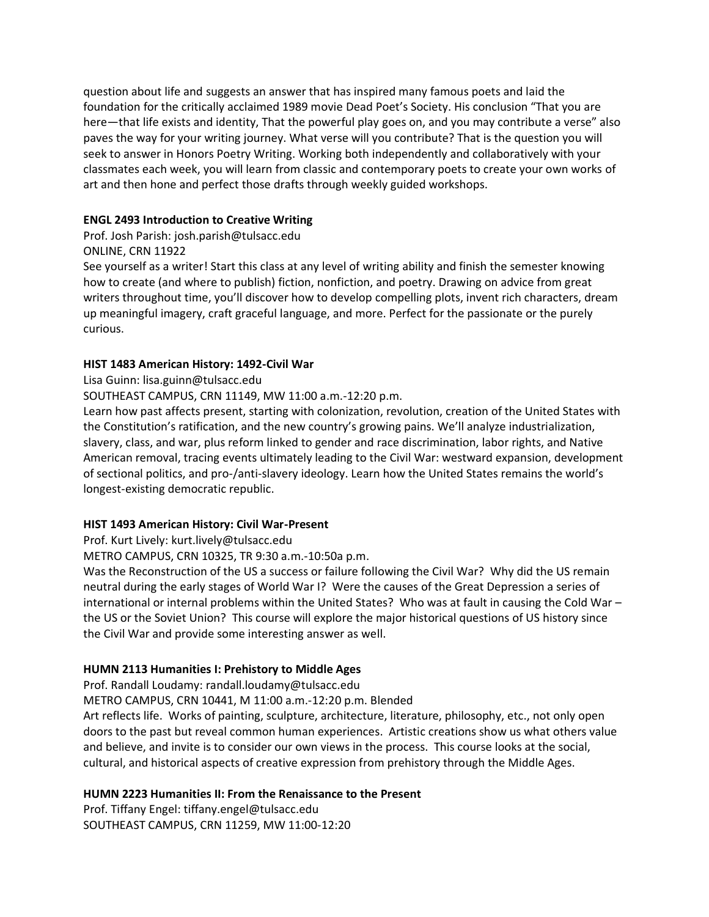question about life and suggests an answer that has inspired many famous poets and laid the foundation for the critically acclaimed 1989 movie Dead Poet's Society. His conclusion "That you are here—that life exists and identity, That the powerful play goes on, and you may contribute a verse" also paves the way for your writing journey. What verse will you contribute? That is the question you will seek to answer in Honors Poetry Writing. Working both independently and collaboratively with your classmates each week, you will learn from classic and contemporary poets to create your own works of art and then hone and perfect those drafts through weekly guided workshops.

# **ENGL 2493 Introduction to Creative Writing**

Prof. Josh Parish: josh.parish@tulsacc.edu ONLINE, CRN 11922

See yourself as a writer! Start this class at any level of writing ability and finish the semester knowing how to create (and where to publish) fiction, nonfiction, and poetry. Drawing on advice from great writers throughout time, you'll discover how to develop compelling plots, invent rich characters, dream up meaningful imagery, craft graceful language, and more. Perfect for the passionate or the purely curious.

# **HIST 1483 American History: 1492-Civil War**

Lisa Guinn: lisa.guinn@tulsacc.edu

SOUTHEAST CAMPUS, CRN 11149, MW 11:00 a.m.-12:20 p.m.

Learn how past affects present, starting with colonization, revolution, creation of the United States with the Constitution's ratification, and the new country's growing pains. We'll analyze industrialization, slavery, class, and war, plus reform linked to gender and race discrimination, labor rights, and Native American removal, tracing events ultimately leading to the Civil War: westward expansion, development of sectional politics, and pro-/anti-slavery ideology. Learn how the United States remains the world's longest-existing democratic republic.

# **HIST 1493 American History: Civil War-Present**

Prof. Kurt Lively: kurt.lively@tulsacc.edu

METRO CAMPUS, CRN 10325, TR 9:30 a.m.-10:50a p.m.

Was the Reconstruction of the US a success or failure following the Civil War? Why did the US remain neutral during the early stages of World War I? Were the causes of the Great Depression a series of international or internal problems within the United States? Who was at fault in causing the Cold War – the US or the Soviet Union? This course will explore the major historical questions of US history since the Civil War and provide some interesting answer as well.

# **HUMN 2113 Humanities I: Prehistory to Middle Ages**

Prof. Randall Loudamy: randall.loudamy@tulsacc.edu

METRO CAMPUS, CRN 10441, M 11:00 a.m.-12:20 p.m. Blended

Art reflects life. Works of painting, sculpture, architecture, literature, philosophy, etc., not only open doors to the past but reveal common human experiences. Artistic creations show us what others value and believe, and invite is to consider our own views in the process. This course looks at the social, cultural, and historical aspects of creative expression from prehistory through the Middle Ages.

# **HUMN 2223 Humanities II: From the Renaissance to the Present**

Prof. Tiffany Engel: tiffany.engel@tulsacc.edu SOUTHEAST CAMPUS, CRN 11259, MW 11:00-12:20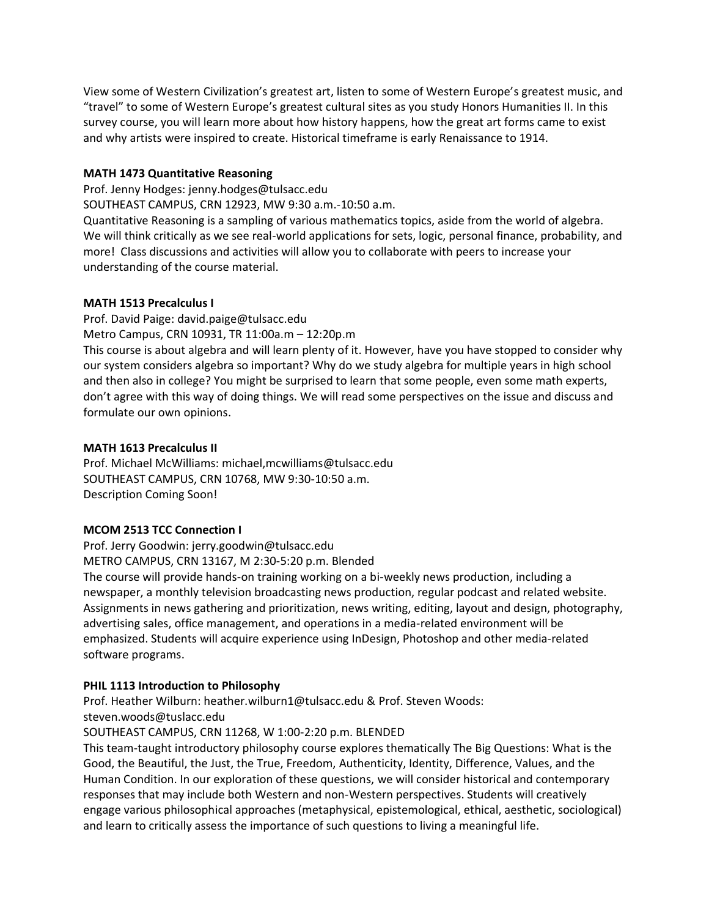View some of Western Civilization's greatest art, listen to some of Western Europe's greatest music, and "travel" to some of Western Europe's greatest cultural sites as you study Honors Humanities II. In this survey course, you will learn more about how history happens, how the great art forms came to exist and why artists were inspired to create. Historical timeframe is early Renaissance to 1914.

# **MATH 1473 Quantitative Reasoning**

Prof. Jenny Hodges: jenny.hodges@tulsacc.edu

SOUTHEAST CAMPUS, CRN 12923, MW 9:30 a.m.-10:50 a.m.

Quantitative Reasoning is a sampling of various mathematics topics, aside from the world of algebra. We will think critically as we see real-world applications for sets, logic, personal finance, probability, and more! Class discussions and activities will allow you to collaborate with peers to increase your understanding of the course material.

# **MATH 1513 Precalculus I**

Prof. David Paige: [david.paige@tulsacc.edu](mailto:david.paige@tulsacc.edu) Metro Campus, CRN 10931, TR 11:00a.m – 12:20p.m This course is about algebra and will learn plenty of it. However, have you have stopped to consider why our system considers algebra so important? Why do we study algebra for multiple years in high school and then also in college? You might be surprised to learn that some people, even some math experts, don't agree with this way of doing things. We will read some perspectives on the issue and discuss and

# formulate our own opinions.

# **MATH 1613 Precalculus II**

Prof. Michael McWilliams: michael,mcwilliams@tulsacc.edu SOUTHEAST CAMPUS, CRN 10768, MW 9:30-10:50 a.m. Description Coming Soon!

# **MCOM 2513 TCC Connection I**

Prof. Jerry Goodwin: jerry.goodwin@tulsacc.edu

METRO CAMPUS, CRN 13167, M 2:30-5:20 p.m. Blended

The course will provide hands-on training working on a bi-weekly news production, including a newspaper, a monthly television broadcasting news production, regular podcast and related website. Assignments in news gathering and prioritization, news writing, editing, layout and design, photography, advertising sales, office management, and operations in a media-related environment will be emphasized. Students will acquire experience using InDesign, Photoshop and other media-related software programs.

# **PHIL 1113 Introduction to Philosophy**

Prof. Heather Wilburn: [heather.wilburn1@tulsacc.edu](mailto:heather.wilburn1@tulsacc.edu) & Prof. Steven Woods:

steven.woods@tuslacc.edu

SOUTHEAST CAMPUS, CRN 11268, W 1:00-2:20 p.m. BLENDED

This team-taught introductory philosophy course explores thematically The Big Questions: What is the Good, the Beautiful, the Just, the True, Freedom, Authenticity, Identity, Difference, Values, and the Human Condition. In our exploration of these questions, we will consider historical and contemporary responses that may include both Western and non-Western perspectives. Students will creatively engage various philosophical approaches (metaphysical, epistemological, ethical, aesthetic, sociological) and learn to critically assess the importance of such questions to living a meaningful life.